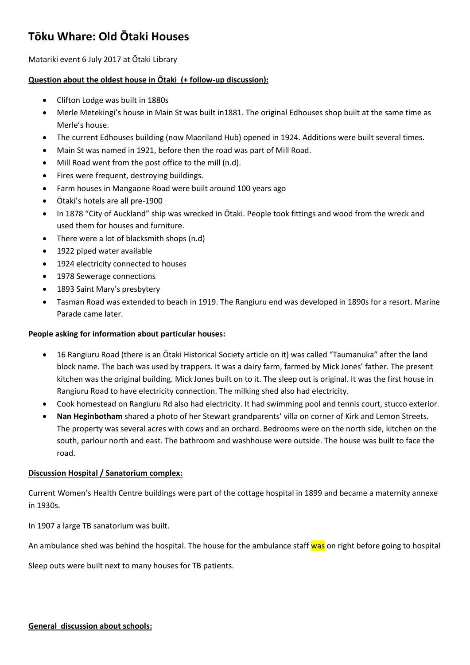# **Tōku Whare: Old Ōtaki Houses**

Matariki event 6 July 2017 at Ōtaki Library

## **Question about the oldest house in Ōtaki (+ follow-up discussion):**

- Clifton Lodge was built in 1880s
- Merle Metekingi's house in Main St was built in1881. The original Edhouses shop built at the same time as Merle's house.
- The current Edhouses building (now Maoriland Hub) opened in 1924. Additions were built several times.
- Main St was named in 1921, before then the road was part of Mill Road.
- Mill Road went from the post office to the mill (n.d).
- Fires were frequent, destroying buildings.
- Farm houses in Mangaone Road were built around 100 years ago
- Ōtaki's hotels are all pre-1900
- In 1878 "City of Auckland" ship was wrecked in Ōtaki. People took fittings and wood from the wreck and used them for houses and furniture.
- There were a lot of blacksmith shops (n.d)
- 1922 piped water available
- 1924 electricity connected to houses
- 1978 Sewerage connections
- 1893 Saint Mary's presbytery
- Tasman Road was extended to beach in 1919. The Rangiuru end was developed in 1890s for a resort. Marine Parade came later.

### **People asking for information about particular houses:**

- 16 Rangiuru Road (there is an Ōtaki Historical Society article on it) was called "Taumanuka" after the land block name. The bach was used by trappers. It was a dairy farm, farmed by Mick Jones' father. The present kitchen was the original building. Mick Jones built on to it. The sleep out is original. It was the first house in Rangiuru Road to have electricity connection. The milking shed also had electricity.
- Cook homestead on Rangiuru Rd also had electricity. It had swimming pool and tennis court, stucco exterior.
- **Nan Heginbotham** shared a photo of her Stewart grandparents' villa on corner of Kirk and Lemon Streets. The property was several acres with cows and an orchard. Bedrooms were on the north side, kitchen on the south, parlour north and east. The bathroom and washhouse were outside. The house was built to face the road.

# **Discussion Hospital / Sanatorium complex:**

Current Women's Health Centre buildings were part of the cottage hospital in 1899 and became a maternity annexe in 1930s.

In 1907 a large TB sanatorium was built.

An ambulance shed was behind the hospital. The house for the ambulance staff was on right before going to hospital

Sleep outs were built next to many houses for TB patients.